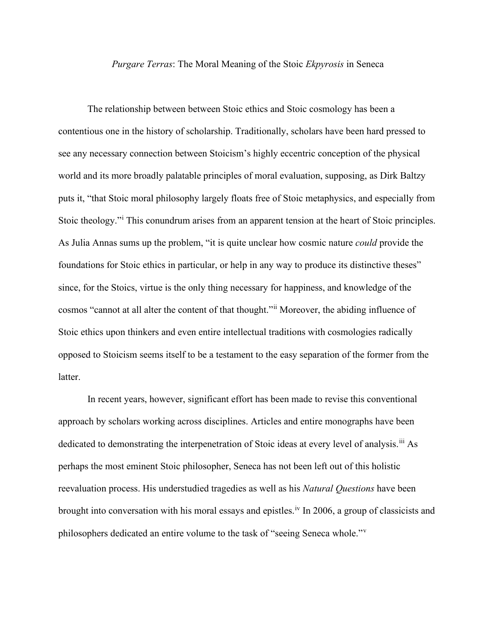## *Purgare Terras*: The Moral Meaning of the Stoic *Ekpyrosis* in Seneca

The relationship between between Stoic ethics and Stoic cosmology has been a contentious one in the history of scholarship. Traditionally, scholars have been hard pressed to see any necessary connection between Stoicism's highly eccentric conception of the physical world and its more broadly palatable principles of moral evaluation, supposing, as Dirk Baltzy puts it, "that Stoic moral philosophy largely floats free of Stoic metaphysics, and especially from Stoic theology."[i](#page-2-0) This conundrum arises from an apparent tension at the heart of Stoic principles. As Julia Annas sums up the problem, "it is quite unclear how cosmic nature *could* provide the foundations for Stoic ethics in particular, or help in any way to produce its distinctive theses" since, for the Stoics, virtue is the only thing necessary for happiness, and knowledge of the cosmos "cannot at all alter the content of that thought."[ii](#page-2-1) Moreover, the abiding influence of Stoic ethics upon thinkers and even entire intellectual traditions with cosmologies radically opposed to Stoicism seems itself to be a testament to the easy separation of the former from the latter.

In recent years, however, significant effort has been made to revise this conventional approach by scholars working across disciplines. Articles and entire monographs have been dedicated to demonstrating the interpenetration of Stoic ideas at every level of analysis.<sup>[iii](#page-2-2)</sup> As perhaps the most eminent Stoic philosopher, Seneca has not been left out of this holistic reevaluation process. His understudied tragedies as well as his *Natural Questions* have been brought into conversation with his moral essays and epistles.<sup>[iv](#page-2-3)</sup> In 2006, a group of classicists and philosophers dedicated an entire volume to the task of "seeing Seneca whole."[v](#page-2-4)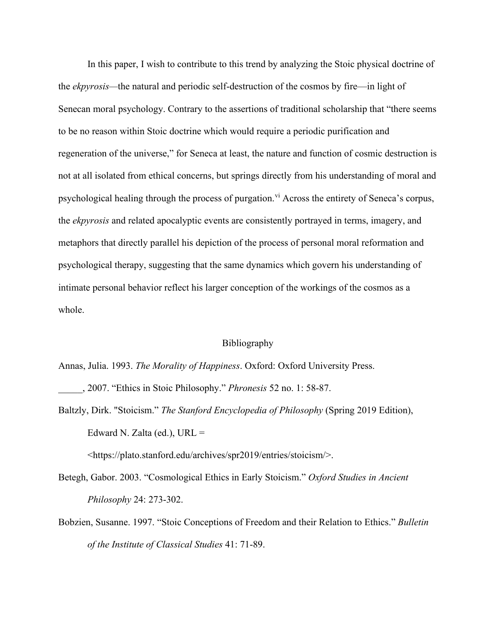In this paper, I wish to contribute to this trend by analyzing the Stoic physical doctrine of the *ekpyrosis—*the natural and periodic self-destruction of the cosmos by fire—in light of Senecan moral psychology. Contrary to the assertions of traditional scholarship that "there seems to be no reason within Stoic doctrine which would require a periodic purification and regeneration of the universe," for Seneca at least, the nature and function of cosmic destruction is not at all isolated from ethical concerns, but springs directly from his understanding of moral and psychological healing through the process of purgation.<sup>[vi](#page-2-5)</sup> Across the entirety of Seneca's corpus, the *ekpyrosis* and related apocalyptic events are consistently portrayed in terms, imagery, and metaphors that directly parallel his depiction of the process of personal moral reformation and psychological therapy, suggesting that the same dynamics which govern his understanding of intimate personal behavior reflect his larger conception of the workings of the cosmos as a whole.

## Bibliography

- Annas, Julia. 1993. *The Morality of Happiness*. Oxford: Oxford University Press.
- \_\_\_\_\_, 2007. "Ethics in Stoic Philosophy." *Phronesis* 52 no. 1: 58-87.
- Baltzly, Dirk. "Stoicism." *The Stanford Encyclopedia of Philosophy* (Spring 2019 Edition), Edward N. Zalta (ed.),  $URL =$

<https://plato.stanford.edu/archives/spr2019/entries/stoicism/>.

- Betegh, Gabor. 2003. "Cosmological Ethics in Early Stoicism." *Oxford Studies in Ancient Philosophy* 24: 273-302.
- Bobzien, Susanne. 1997. "Stoic Conceptions of Freedom and their Relation to Ethics." *Bulletin of the Institute of Classical Studies* 41: 71-89.